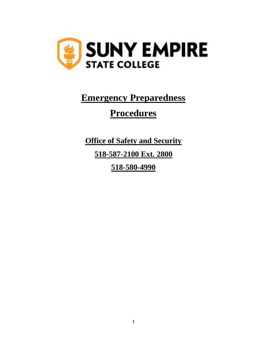

# **Emergency Preparedness**

# **Procedures**

**Office of Safety and Security 518-587-2100 Ext. 2800 518-580-4990**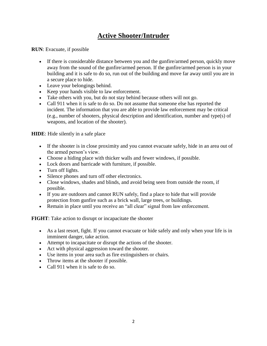# **Active Shooter/Intruder**

**RUN**: Evacuate, if possible

- If there is considerable distance between you and the gunfire/armed person, quickly move away from the sound of the gunfire/armed person. If the gunfire/armed person is in your building and it is safe to do so, run out of the building and move far away until you are in a secure place to hide.
- Leave your belongings behind.
- Keep your hands visible to law enforcement.
- Take others with you, but do not stay behind because others will not go.
- Call 911 when it is safe to do so. Do not assume that someone else has reported the incident. The information that you are able to provide law enforcement may be critical (e.g., number of shooters, physical description and identification, number and type(s) of weapons, and location of the shooter).

**HIDE**: Hide silently in a safe place

- If the shooter is in close proximity and you cannot evacuate safely, hide in an area out of the armed person's view.
- Choose a hiding place with thicker walls and fewer windows, if possible.
- Lock doors and barricade with furniture, if possible.
- Turn off lights.
- Silence phones and turn off other electronics.
- Close windows, shades and blinds, and avoid being seen from outside the room, if possible.
- If you are outdoors and cannot RUN safely, find a place to hide that will provide protection from gunfire such as a brick wall, large trees, or buildings.
- Remain in place until you receive an "all clear" signal from law enforcement.

**FIGHT**: Take action to disrupt or incapacitate the shooter

- As a last resort, fight. If you cannot evacuate or hide safely and only when your life is in imminent danger, take action.
- Attempt to incapacitate or disrupt the actions of the shooter.
- Act with physical aggression toward the shooter.
- Use items in your area such as fire extinguishers or chairs.
- Throw items at the shooter if possible.
- Call 911 when it is safe to do so.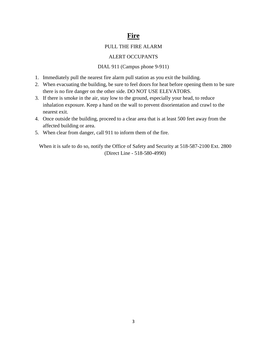# **Fire**

#### PULL THE FIRE ALARM

#### ALERT OCCUPANTS

#### DIAL 911 (Campus phone 9-911)

- 1. Immediately pull the nearest fire alarm pull station as you exit the building.
- 2. When evacuating the building, be sure to feel doors for heat before opening them to be sure there is no fire danger on the other side. DO NOT USE ELEVATORS.
- 3. If there is smoke in the air, stay low to the ground, especially your head, to reduce inhalation exposure. Keep a hand on the wall to prevent disorientation and crawl to the nearest exit.
- 4. Once outside the building, proceed to a clear area that is at least 500 feet away from the affected building or area.
- 5. When clear from danger, call 911 to inform them of the fire.

When it is safe to do so, notify the Office of Safety and Security at 518-587-2100 Ext. 2800 (Direct Line - 518-580-4990)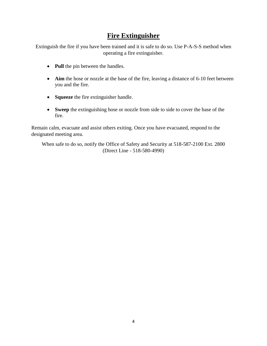# **Fire Extinguisher**

Extinguish the fire if you have been trained and it is safe to do so. Use P-A-S-S method when operating a fire extinguisher.

- **Pull** the pin between the handles.
- **Aim** the hose or nozzle at the base of the fire, leaving a distance of 6-10 feet between you and the fire.
- **Squeeze** the fire extinguisher handle.
- **Sweep** the extinguishing hose or nozzle from side to side to cover the base of the fire.

Remain calm, evacuate and assist others exiting. Once you have evacuated, respond to the designated meeting area.

When safe to do so, notify the Office of Safety and Security at 518-587-2100 Ext. 2800 (Direct Line - 518-580-4990)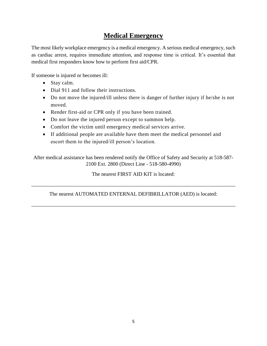# **Medical Emergency**

The most likely workplace emergency is a medical emergency. A serious medical emergency, such as cardiac arrest, requires immediate attention, and response time is critical. It's essential that medical first responders know how to perform first aid/CPR.

If someone is injured or becomes ill:

- Stay calm.
- Dial 911 and follow their instructions.
- Do not move the injured/ill unless there is danger of further injury if he/she is not moved.
- Render first-aid or CPR only if you have been trained.
- Do not leave the injured person except to summon help.
- Comfort the victim until emergency medical services arrive.
- If additional people are available have them meet the medical personnel and escort them to the injured/ill person's location.

After medical assistance has been rendered notify the Office of Safety and Security at 518-587- 2100 Ext. 2800 (Direct Line - 518-580-4990)

The nearest FIRST AID KIT is located:

The nearest AUTOMATED ENTERNAL DEFIBRILLATOR (AED) is located:

\_\_\_\_\_\_\_\_\_\_\_\_\_\_\_\_\_\_\_\_\_\_\_\_\_\_\_\_\_\_\_\_\_\_\_\_\_\_\_\_\_\_\_\_\_\_\_\_\_\_\_\_\_\_\_\_\_\_\_\_\_\_\_\_\_\_\_\_\_\_\_\_\_\_\_\_\_\_

\_\_\_\_\_\_\_\_\_\_\_\_\_\_\_\_\_\_\_\_\_\_\_\_\_\_\_\_\_\_\_\_\_\_\_\_\_\_\_\_\_\_\_\_\_\_\_\_\_\_\_\_\_\_\_\_\_\_\_\_\_\_\_\_\_\_\_\_\_\_\_\_\_\_\_\_\_\_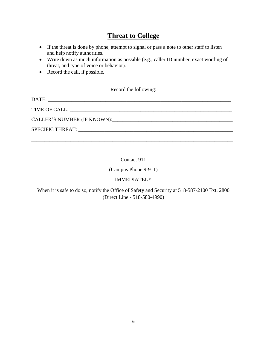# **Threat to College**

- If the threat is done by phone, attempt to signal or pass a note to other staff to listen and help notify authorities.
- Write down as much information as possible (e.g., caller ID number, exact wording of threat, and type of voice or behavior).
- Record the call, if possible.

#### Record the following:

| CALLER'S NUMBER (IF KNOWN): |
|-----------------------------|
|                             |
|                             |

#### Contact 911

(Campus Phone 9-911)

#### IMMEDIATELY

When it is safe to do so, notify the Office of Safety and Security at 518-587-2100 Ext. 2800 (Direct Line - 518-580-4990)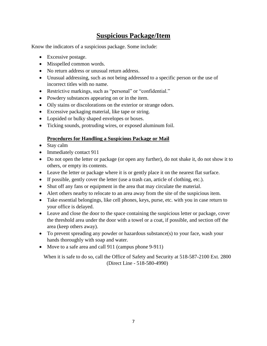# **Suspicious Package/Item**

Know the indicators of a suspicious package. Some include:

- Excessive postage.
- Misspelled common words.
- No return address or unusual return address.
- Unusual addressing, such as not being addressed to a specific person or the use of incorrect titles with no name.
- Restrictive markings, such as "personal" or "confidential."
- Powdery substances appearing on or in the item.
- Oily stains or discolorations on the exterior or strange odors.
- Excessive packaging material, like tape or string.
- Lopsided or bulky shaped envelopes or boxes.
- Ticking sounds, protruding wires, or exposed aluminum foil.

#### **Procedures for Handling a Suspicious Package or Mail**

- Stay calm
- Immediately contact 911
- Do not open the letter or package (or open any further), do not shake it, do not show it to others, or empty its contents.
- Leave the letter or package where it is or gently place it on the nearest flat surface.
- If possible, gently cover the letter (use a trash can, article of clothing, etc.).
- Shut off any fans or equipment in the area that may circulate the material.
- Alert others nearby to relocate to an area away from the site of the suspicious item.
- Take essential belongings, like cell phones, keys, purse, etc. with you in case return to your office is delayed.
- Leave and close the door to the space containing the suspicious letter or package, cover the threshold area under the door with a towel or a coat, if possible, and section off the area (keep others away).
- To prevent spreading any powder or hazardous substance(s) to your face, wash your hands thoroughly with soap and water.
- Move to a safe area and call 911 (campus phone 9-911)

When it is safe to do so, call the Office of Safety and Security at 518-587-2100 Ext. 2800 (Direct Line - 518-580-4990)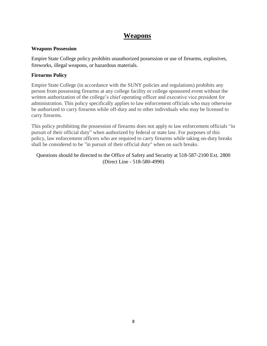# **Weapons**

#### **Weapons Possession**

Empire State College policy prohibits unauthorized possession or use of firearms, explosives, fireworks, illegal weapons, or hazardous materials.

#### **Firearms Policy**

Empire State College (in accordance with the SUNY policies and regulations) prohibits any person from possessing firearms at any college facility or college sponsored event without the written authorization of the college's chief operating officer and executive vice president for administration. This policy specifically applies to law enforcement officials who may otherwise be authorized to carry firearms while off-duty and to other individuals who may be licensed to carry firearms.

This policy prohibiting the possession of firearms does not apply to law enforcement officials "in pursuit of their official duty" when authorized by federal or state law. For purposes of this policy, law enforcement officers who are required to carry firearms while taking on-duty breaks shall be considered to be "in pursuit of their official duty" when on such breaks.

#### Questions should be directed to the Office of Safety and Security at 518-587-2100 Ext. 2800 (Direct Line - 518-580-4990)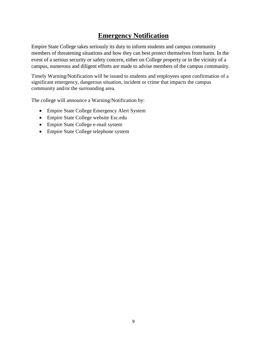# **Emergency Notification**

Empire State College takes seriously its duty to inform students and campus community members of threatening situations and how they can best protect themselves from harm. In the event of a serious security or safety concern, either on College property or in the vicinity of a campus, numerous and diligent efforts are made to advise members of the campus community.

Timely Warning/Notification will be issued to students and employees upon confirmation of a significant emergency, dangerous situation, incident or crime that impacts the campus community and/or the surrounding area.

The college will announce a Warning/Notification by:

- Empire State College Emergency Alert System
- Empire State College website Esc.edu
- Empire State College e-mail system
- Empire State College telephone system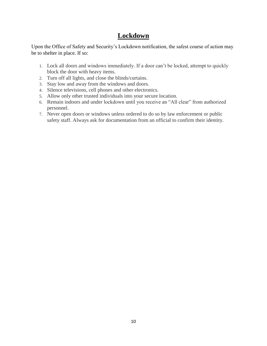# **Lockdown**

Upon the Office of Safety and Security's Lockdown notification, the safest course of action may be to shelter in place. If so:

- 1. Lock all doors and windows immediately. If a door can't be locked, attempt to quickly block the door with heavy items.
- 2. Turn off all lights, and close the blinds/curtains.
- 3. Stay low and away from the windows and doors.
- 4. Silence televisions, cell phones and other electronics.
- 5. Allow only other trusted individuals into your secure location.
- 6. Remain indoors and under lockdown until you receive an "All clear" from authorized personnel.
- 7. Never open doors or windows unless ordered to do so by law enforcement or public safety staff. Always ask for documentation from an official to confirm their identity.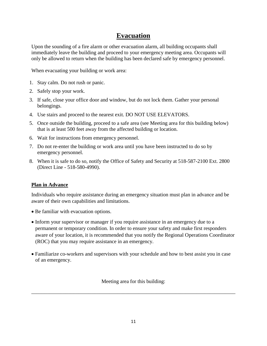# **Evacuation**

Upon the sounding of a fire alarm or other evacuation alarm, all building occupants shall immediately leave the building and proceed to your emergency meeting area. Occupants will only be allowed to return when the building has been declared safe by emergency personnel.

When evacuating your building or work area:

- 1. Stay calm. Do not rush or panic.
- 2. Safely stop your work.
- 3. If safe, close your office door and window, but do not lock them. Gather your personal belongings.
- 4. Use stairs and proceed to the nearest exit. DO NOT USE ELEVATORS.
- 5. Once outside the building, proceed to a safe area (see Meeting area for this building below) that is at least 500 feet away from the affected building or location.
- 6. Wait for instructions from emergency personnel.
- 7. Do not re-enter the building or work area until you have been instructed to do so by emergency personnel.
- 8. When it is safe to do so, notify the Office of Safety and Security at 518-587-2100 Ext. 2800 (Direct Line - 518-580-4990).

#### **Plan in Advance**

Individuals who require assistance during an emergency situation must plan in advance and be aware of their own capabilities and limitations.

- Be familiar with evacuation options.
- Inform your supervisor or manager if you require assistance in an emergency due to a permanent or temporary condition. In order to ensure your safety and make first responders aware of your location, it is recommended that you notify the Regional Operations Coordinator (ROC) that you may require assistance in an emergency.
- Familiarize co-workers and supervisors with your schedule and how to best assist you in case of an emergency.

Meeting area for this building:

\_\_\_\_\_\_\_\_\_\_\_\_\_\_\_\_\_\_\_\_\_\_\_\_\_\_\_\_\_\_\_\_\_\_\_\_\_\_\_\_\_\_\_\_\_\_\_\_\_\_\_\_\_\_\_\_\_\_\_\_\_\_\_\_\_\_\_\_\_\_\_\_\_\_\_\_\_\_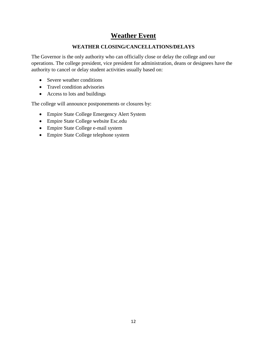# **Weather Event**

#### **WEATHER CLOSING/CANCELLATIONS/DELAYS**

The Governor is the only authority who can officially close or delay the college and our operations. The college president, vice president for administration, deans or designees have the authority to cancel or delay student activities usually based on:

- Severe weather conditions
- Travel condition advisories
- Access to lots and buildings

The college will announce postponements or closures by:

- Empire State College Emergency Alert System
- Empire State College website Esc.edu
- Empire State College e-mail system
- Empire State College telephone system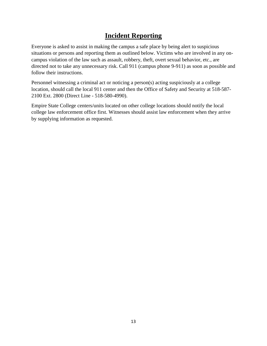# **Incident Reporting**

Everyone is asked to assist in making the campus a safe place by being alert to suspicious situations or persons and reporting them as outlined below. Victims who are involved in any oncampus violation of the law such as assault, robbery, theft, overt sexual behavior, etc., are directed not to take any unnecessary risk. Call 911 (campus phone 9-911) as soon as possible and follow their instructions.

Personnel witnessing a criminal act or noticing a person(s) acting suspiciously at a college location, should call the local 911 center and then the Office of Safety and Security at 518-587- 2100 Ext. 2800 (Direct Line - 518-580-4990).

Empire State College centers/units located on other college locations should notify the local college law enforcement office first. Witnesses should assist law enforcement when they arrive by supplying information as requested.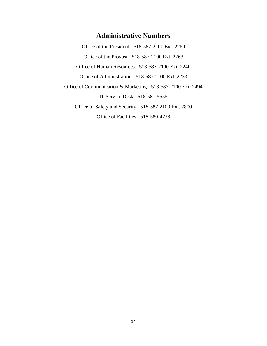# **Administrative Numbers**

Office of the President - 518-587-2100 Ext. 2260 Office of the Provost - 518-587-2100 Ext. 2263 Office of Human Resources - 518-587-2100 Ext. 2240 Office of Administration - 518-587-2100 Ext. 2233 Office of Communication & Marketing - 518-587-2100 Ext. 2494 IT Service Desk - 518-581-5656 Office of Safety and Security - 518-587-2100 Ext. 2800 Office of Facilities - 518-580-4738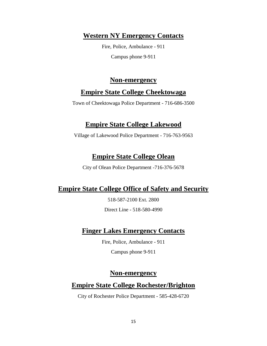### **Western NY Emergency Contacts**

Fire, Police, Ambulance - 911 Campus phone 9-911

#### **Non-emergency**

### **Empire State College Cheektowaga**

Town of Cheektowaga Police Department - 716-686-3500

### **Empire State College Lakewood**

Village of Lakewood Police Department - 716-763-9563

# **Empire State College Olean**

City of Olean Police Department -716-376-5678

# **Empire State College Office of Safety and Security**

518-587-2100 Ext. 2800

Direct Line - 518-580-4990

# **Finger Lakes Emergency Contacts**

Fire, Police, Ambulance - 911

Campus phone 9-911

### **Non-emergency**

# **Empire State College Rochester/Brighton**

City of Rochester Police Department - 585-428-6720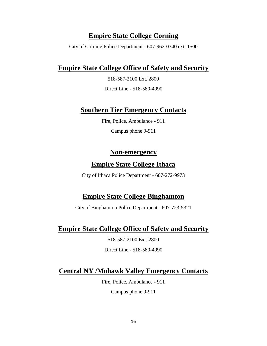# **Empire State College Corning**

City of Corning Police Department - 607-962-0340 ext. 1500

#### **Empire State College Office of Safety and Security**

518-587-2100 Ext. 2800

Direct Line - 518-580-4990

#### **Southern Tier Emergency Contacts**

Fire, Police, Ambulance - 911

Campus phone 9-911

#### **Non-emergency**

#### **Empire State College Ithaca**

City of Ithaca Police Department - 607-272-9973

### **Empire State College Binghamton**

City of Binghamton Police Department - 607-723-5321

### **Empire State College Office of Safety and Security**

518-587-2100 Ext. 2800

Direct Line - 518-580-4990

# **Central NY /Mohawk Valley Emergency Contacts**

Fire, Police, Ambulance - 911

Campus phone 9-911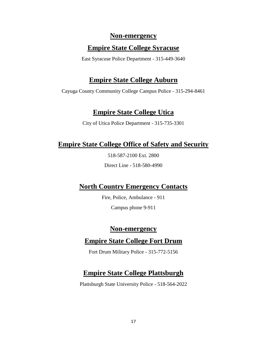#### **Non-emergency**

#### **Empire State College Syracuse**

East Syracuse Police Department - 315-449-3640

# **Empire State College Auburn**

Cayuga County Community College Campus Police - 315-294-8461

# **Empire State College Utica**

City of Utica Police Department - 315-735-3301

# **Empire State College Office of Safety and Security**

518-587-2100 Ext. 2800

Direct Line - 518-580-4990

# **North Country Emergency Contacts**

Fire, Police, Ambulance - 911

Campus phone 9-911

# **Non-emergency**

# **Empire State College Fort Drum**

Fort Drum Military Police - 315-772-5156

# **Empire State College Plattsburgh**

Plattsburgh State University Police - 518-564-2022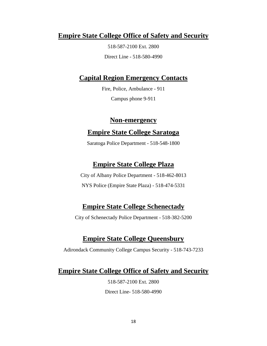### **Empire State College Office of Safety and Security**

518-587-2100 Ext. 2800 Direct Line - 518-580-4990

### **Capital Region Emergency Contacts**

Fire, Police, Ambulance - 911 Campus phone 9-911

#### **Non-emergency**

#### **Empire State College Saratoga**

Saratoga Police Department - 518-548-1800

### **Empire State College Plaza**

City of Albany Police Department - 518-462-8013 NYS Police (Empire State Plaza) - 518-474-5331

### **Empire State College Schenectady**

City of Schenectady Police Department - 518-382-5200

### **Empire State College Queensbury**

Adirondack Community College Campus Security - 518-743-7233

# **Empire State College Office of Safety and Security**

518-587-2100 Ext. 2800 Direct Line- 518-580-4990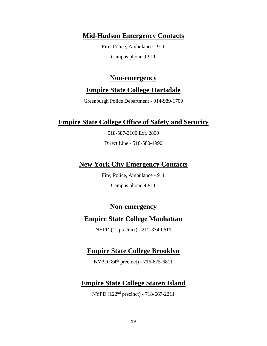#### **Mid-Hudson Emergency Contacts**

Fire, Police, Ambulance - 911 Campus phone 9-911

#### **Non-emergency**

#### **Empire State College Hartsdale**

Greenburgh Police Department - 914-989-1700

#### **Empire State College Office of Safety and Security**

518-587-2100 Ext. 2800

Direct Line - 518-580-4990

#### **New York City Emergency Contacts**

Fire, Police, Ambulance - 911

Campus phone 9-911

#### **Non-emergency**

#### **Empire State College Manhattan**

NYPD (1st precinct) - 212-334-0611

#### **Empire State College Brooklyn**

NYPD (84th precinct) - 716-875-6811

### **Empire State College Staten Island**

NYPD (122nd precinct) - 718-667-2211